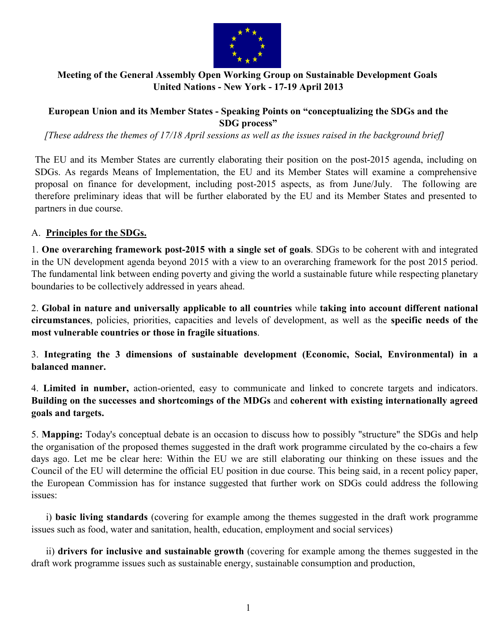

## **Meeting of the General Assembly Open Working Group on Sustainable Development Goals United Nations - New York - 17-19 April 2013**

## **European Union and its Member States - Speaking Points on "conceptualizing the SDGs and the SDG process"**

*[These address the themes of 17/18 April sessions as well as the issues raised in the background brief]*

The EU and its Member States are currently elaborating their position on the post-2015 agenda, including on SDGs. As regards Means of Implementation, the EU and its Member States will examine a comprehensive proposal on finance for development, including post-2015 aspects, as from June/July. The following are therefore preliminary ideas that will be further elaborated by the EU and its Member States and presented to partners in due course.

## A. **Principles for the SDGs.**

1. **One overarching framework post-2015 with a single set of goals**. SDGs to be coherent with and integrated in the UN development agenda beyond 2015 with a view to an overarching framework for the post 2015 period. The fundamental link between ending poverty and giving the world a sustainable future while respecting planetary boundaries to be collectively addressed in years ahead.

2. **Global in nature and universally applicable to all countries** while **taking into account different national circumstances**, policies, priorities, capacities and levels of development, as well as the **specific needs of the most vulnerable countries or those in fragile situations**.

3. **Integrating the 3 dimensions of sustainable development (Economic, Social, Environmental) in a balanced manner.**

4. **Limited in number,** action-oriented, easy to communicate and linked to concrete targets and indicators. **Building on the successes and shortcomings of the MDGs** and **coherent with existing internationally agreed goals and targets.**

5. **Mapping:** Today's conceptual debate is an occasion to discuss how to possibly "structure" the SDGs and help the organisation of the proposed themes suggested in the draft work programme circulated by the co-chairs a few days ago. Let me be clear here: Within the EU we are still elaborating our thinking on these issues and the Council of the EU will determine the official EU position in due course. This being said, in a recent policy paper, the European Commission has for instance suggested that further work on SDGs could address the following issues:

 i) **basic living standards** (covering for example among the themes suggested in the draft work programme issues such as food, water and sanitation, health, education, employment and social services)

 ii) **drivers for inclusive and sustainable growth** (covering for example among the themes suggested in the draft work programme issues such as sustainable energy, sustainable consumption and production,